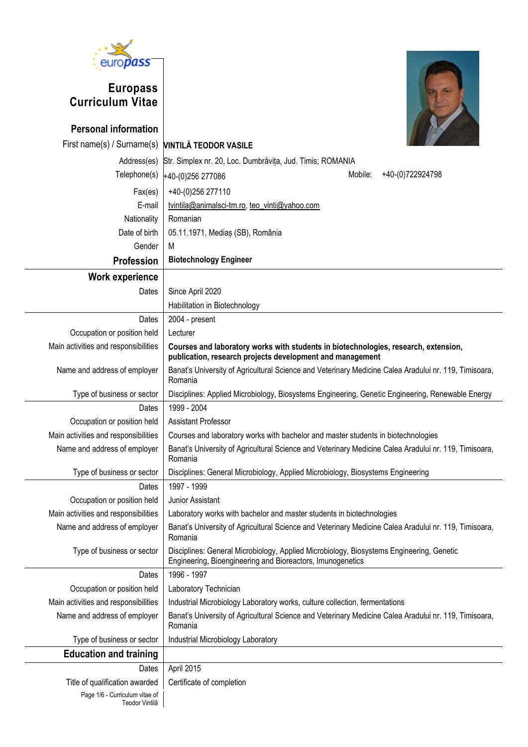

# **Europass Curriculum Vitae**



| <b>Personal information</b>                      |                                                                                                                                                        |  |  |  |  |
|--------------------------------------------------|--------------------------------------------------------------------------------------------------------------------------------------------------------|--|--|--|--|
| First name(s) / Surname(s)                       | <b>VINTILĂ TEODOR VASILE</b>                                                                                                                           |  |  |  |  |
| Address(es)                                      | Str. Simplex nr. 20, Loc. Dumbrăvița, Jud. Timis; ROMANIA                                                                                              |  |  |  |  |
| Telephone(s)                                     | Mobile:<br>+40-(0)722924798<br>+40-(0)256 277086                                                                                                       |  |  |  |  |
| Fax(es)                                          | +40-(0)256 277110                                                                                                                                      |  |  |  |  |
| E-mail                                           | tvintila@animalsci-tm.ro, teo_vinti@yahoo.com                                                                                                          |  |  |  |  |
| Nationality                                      | Romanian                                                                                                                                               |  |  |  |  |
| Date of birth                                    | 05.11.1971, Mediaș (SB), România                                                                                                                       |  |  |  |  |
| Gender                                           | M                                                                                                                                                      |  |  |  |  |
| Profession                                       | <b>Biotechnology Engineer</b>                                                                                                                          |  |  |  |  |
| <b>Work experience</b>                           |                                                                                                                                                        |  |  |  |  |
| Dates                                            | Since April 2020                                                                                                                                       |  |  |  |  |
|                                                  | Habilitation in Biotechnology                                                                                                                          |  |  |  |  |
| Dates                                            | 2004 - present                                                                                                                                         |  |  |  |  |
| Occupation or position held                      | Lecturer                                                                                                                                               |  |  |  |  |
| Main activities and responsibilities             | Courses and laboratory works with students in biotechnologies, research, extension,<br>publication, research projects development and management       |  |  |  |  |
| Name and address of employer                     | Banat's University of Agricultural Science and Veterinary Medicine Calea Aradului nr. 119, Timisoara,<br>Romania                                       |  |  |  |  |
| Type of business or sector                       | Disciplines: Applied Microbiology, Biosystems Engineering, Genetic Engineering, Renewable Energy                                                       |  |  |  |  |
| Dates                                            | 1999 - 2004                                                                                                                                            |  |  |  |  |
| Occupation or position held                      | <b>Assistant Professor</b>                                                                                                                             |  |  |  |  |
| Main activities and responsibilities             | Courses and laboratory works with bachelor and master students in biotechnologies                                                                      |  |  |  |  |
| Name and address of employer                     | Banat's University of Agricultural Science and Veterinary Medicine Calea Aradului nr. 119, Timisoara,<br>Romania                                       |  |  |  |  |
| Type of business or sector                       | Disciplines: General Microbiology, Applied Microbiology, Biosystems Engineering                                                                        |  |  |  |  |
| Dates                                            | 1997 - 1999                                                                                                                                            |  |  |  |  |
| Occupation or position held                      | Junior Assistant                                                                                                                                       |  |  |  |  |
| Main activities and responsibilities             | Laboratory works with bachelor and master students in biotechnologies                                                                                  |  |  |  |  |
| Name and address of employer                     | Banat's University of Agricultural Science and Veterinary Medicine Calea Aradului nr. 119, Timisoara,<br>Romania                                       |  |  |  |  |
| Type of business or sector                       | Disciplines: General Microbiology, Applied Microbiology, Biosystems Engineering, Genetic<br>Engineering, Bioengineering and Bioreactors, Imunogenetics |  |  |  |  |
| Dates                                            | 1996 - 1997                                                                                                                                            |  |  |  |  |
| Occupation or position held                      | Laboratory Technician                                                                                                                                  |  |  |  |  |
| Main activities and responsibilities             | Industrial Microbiology Laboratory works, culture collection, fermentations                                                                            |  |  |  |  |
| Name and address of employer                     | Banat's University of Agricultural Science and Veterinary Medicine Calea Aradului nr. 119, Timisoara,<br>Romania                                       |  |  |  |  |
| Type of business or sector                       | Industrial Microbiology Laboratory                                                                                                                     |  |  |  |  |
| <b>Education and training</b>                    |                                                                                                                                                        |  |  |  |  |
| Dates                                            | April 2015                                                                                                                                             |  |  |  |  |
| Title of qualification awarded                   | Certificate of completion                                                                                                                              |  |  |  |  |
| Page 1/6 - Curriculum vitae of<br>Teodor Vintilă |                                                                                                                                                        |  |  |  |  |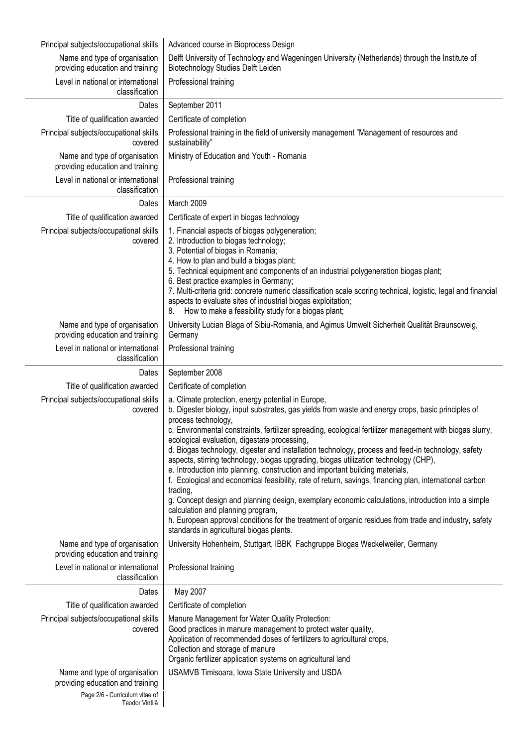| Principal subjects/occupational skills                            | Advanced course in Bioprocess Design                                                                                                                                                                                                                                                                                                                                                                                                                                                                                                                                                                                                                                                                                                                                                                                                                                                                                                                                                                                                              |  |  |  |  |
|-------------------------------------------------------------------|---------------------------------------------------------------------------------------------------------------------------------------------------------------------------------------------------------------------------------------------------------------------------------------------------------------------------------------------------------------------------------------------------------------------------------------------------------------------------------------------------------------------------------------------------------------------------------------------------------------------------------------------------------------------------------------------------------------------------------------------------------------------------------------------------------------------------------------------------------------------------------------------------------------------------------------------------------------------------------------------------------------------------------------------------|--|--|--|--|
| Name and type of organisation<br>providing education and training | Delft University of Technology and Wageningen University (Netherlands) through the Institute of<br>Biotechnology Studies Delft Leiden                                                                                                                                                                                                                                                                                                                                                                                                                                                                                                                                                                                                                                                                                                                                                                                                                                                                                                             |  |  |  |  |
| Level in national or international<br>classification              | Professional training                                                                                                                                                                                                                                                                                                                                                                                                                                                                                                                                                                                                                                                                                                                                                                                                                                                                                                                                                                                                                             |  |  |  |  |
| Dates                                                             | September 2011                                                                                                                                                                                                                                                                                                                                                                                                                                                                                                                                                                                                                                                                                                                                                                                                                                                                                                                                                                                                                                    |  |  |  |  |
| Title of qualification awarded                                    | Certificate of completion                                                                                                                                                                                                                                                                                                                                                                                                                                                                                                                                                                                                                                                                                                                                                                                                                                                                                                                                                                                                                         |  |  |  |  |
| Principal subjects/occupational skills<br>covered                 | Professional training in the field of university management "Management of resources and<br>sustainability"                                                                                                                                                                                                                                                                                                                                                                                                                                                                                                                                                                                                                                                                                                                                                                                                                                                                                                                                       |  |  |  |  |
| Name and type of organisation<br>providing education and training | Ministry of Education and Youth - Romania                                                                                                                                                                                                                                                                                                                                                                                                                                                                                                                                                                                                                                                                                                                                                                                                                                                                                                                                                                                                         |  |  |  |  |
| Level in national or international<br>classification              | Professional training                                                                                                                                                                                                                                                                                                                                                                                                                                                                                                                                                                                                                                                                                                                                                                                                                                                                                                                                                                                                                             |  |  |  |  |
| Dates                                                             | March 2009                                                                                                                                                                                                                                                                                                                                                                                                                                                                                                                                                                                                                                                                                                                                                                                                                                                                                                                                                                                                                                        |  |  |  |  |
| Title of qualification awarded                                    | Certificate of expert in biogas technology                                                                                                                                                                                                                                                                                                                                                                                                                                                                                                                                                                                                                                                                                                                                                                                                                                                                                                                                                                                                        |  |  |  |  |
| Principal subjects/occupational skills<br>covered                 | 1. Financial aspects of biogas polygeneration;<br>2. Introduction to biogas technology;<br>3. Potential of biogas in Romania;<br>4. How to plan and build a biogas plant;<br>5. Technical equipment and components of an industrial polygeneration biogas plant;<br>6. Best practice examples in Germany;<br>7. Multi-criteria grid: concrete numeric classification scale scoring technical, logistic, legal and financial<br>aspects to evaluate sites of industrial biogas exploitation;<br>How to make a feasibility study for a biogas plant;<br>8.                                                                                                                                                                                                                                                                                                                                                                                                                                                                                          |  |  |  |  |
| Name and type of organisation<br>providing education and training | University Lucian Blaga of Sibiu-Romania, and Agimus Umwelt Sicherheit Qualität Braunscweig,<br>Germany                                                                                                                                                                                                                                                                                                                                                                                                                                                                                                                                                                                                                                                                                                                                                                                                                                                                                                                                           |  |  |  |  |
| Level in national or international<br>classification              | Professional training                                                                                                                                                                                                                                                                                                                                                                                                                                                                                                                                                                                                                                                                                                                                                                                                                                                                                                                                                                                                                             |  |  |  |  |
| Dates                                                             | September 2008                                                                                                                                                                                                                                                                                                                                                                                                                                                                                                                                                                                                                                                                                                                                                                                                                                                                                                                                                                                                                                    |  |  |  |  |
| Title of qualification awarded                                    | Certificate of completion                                                                                                                                                                                                                                                                                                                                                                                                                                                                                                                                                                                                                                                                                                                                                                                                                                                                                                                                                                                                                         |  |  |  |  |
| Principal subjects/occupational skills<br>covered                 | a. Climate protection, energy potential in Europe,<br>b. Digester biology, input substrates, gas yields from waste and energy crops, basic principles of<br>process technology,<br>c. Environmental constraints, fertilizer spreading, ecological fertilizer management with biogas slurry,<br>ecological evaluation, digestate processing,<br>d. Biogas technology, digester and installation technology, process and feed-in technology, safety<br>aspects, stirring technology, biogas upgrading, biogas utilization technology (CHP),<br>e. Introduction into planning, construction and important building materials,<br>f. Ecological and economical feasibility, rate of return, savings, financing plan, international carbon<br>trading,<br>g. Concept design and planning design, exemplary economic calculations, introduction into a simple<br>calculation and planning program,<br>h. European approval conditions for the treatment of organic residues from trade and industry, safety<br>standards in agricultural biogas plants. |  |  |  |  |
| Name and type of organisation<br>providing education and training | University Hohenheim, Stuttgart, IBBK Fachgruppe Biogas Weckelweiler, Germany                                                                                                                                                                                                                                                                                                                                                                                                                                                                                                                                                                                                                                                                                                                                                                                                                                                                                                                                                                     |  |  |  |  |
| Level in national or international<br>classification              | Professional training                                                                                                                                                                                                                                                                                                                                                                                                                                                                                                                                                                                                                                                                                                                                                                                                                                                                                                                                                                                                                             |  |  |  |  |
| Dates                                                             | May 2007                                                                                                                                                                                                                                                                                                                                                                                                                                                                                                                                                                                                                                                                                                                                                                                                                                                                                                                                                                                                                                          |  |  |  |  |
| Title of qualification awarded                                    | Certificate of completion                                                                                                                                                                                                                                                                                                                                                                                                                                                                                                                                                                                                                                                                                                                                                                                                                                                                                                                                                                                                                         |  |  |  |  |
| Principal subjects/occupational skills<br>covered                 | Manure Management for Water Quality Protection:<br>Good practices in manure management to protect water quality,<br>Application of recommended doses of fertilizers to agricultural crops,<br>Collection and storage of manure<br>Organic fertilizer application systems on agricultural land                                                                                                                                                                                                                                                                                                                                                                                                                                                                                                                                                                                                                                                                                                                                                     |  |  |  |  |
| Name and type of organisation<br>providing education and training | USAMVB Timisoara, Iowa State University and USDA                                                                                                                                                                                                                                                                                                                                                                                                                                                                                                                                                                                                                                                                                                                                                                                                                                                                                                                                                                                                  |  |  |  |  |
| Page 2/6 - Curriculum vitae of<br>Teodor Vintilă                  |                                                                                                                                                                                                                                                                                                                                                                                                                                                                                                                                                                                                                                                                                                                                                                                                                                                                                                                                                                                                                                                   |  |  |  |  |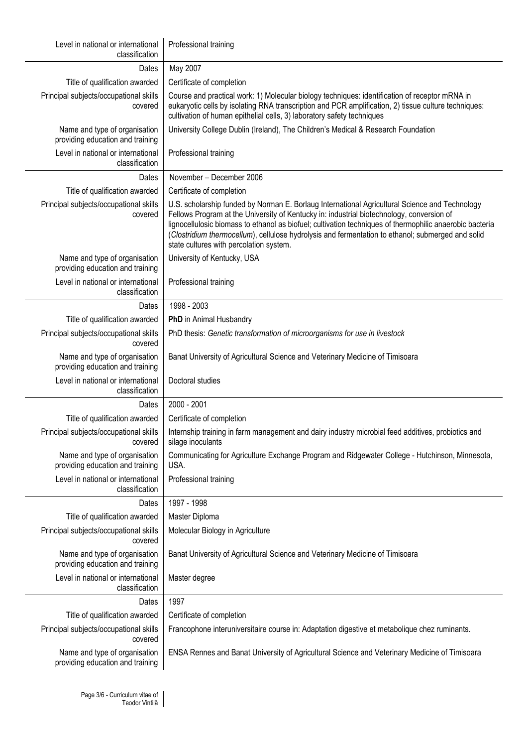| Level in national or international<br>classification              | Professional training                                                                                                                                                                                                                                                                                                                                                                                                                                   |  |  |  |
|-------------------------------------------------------------------|---------------------------------------------------------------------------------------------------------------------------------------------------------------------------------------------------------------------------------------------------------------------------------------------------------------------------------------------------------------------------------------------------------------------------------------------------------|--|--|--|
| Dates                                                             | May 2007                                                                                                                                                                                                                                                                                                                                                                                                                                                |  |  |  |
| Title of qualification awarded                                    | Certificate of completion                                                                                                                                                                                                                                                                                                                                                                                                                               |  |  |  |
| Principal subjects/occupational skills<br>covered                 | Course and practical work: 1) Molecular biology techniques: identification of receptor mRNA in<br>eukaryotic cells by isolating RNA transcription and PCR amplification, 2) tissue culture techniques:<br>cultivation of human epithelial cells, 3) laboratory safety techniques                                                                                                                                                                        |  |  |  |
| Name and type of organisation<br>providing education and training | University College Dublin (Ireland), The Children's Medical & Research Foundation                                                                                                                                                                                                                                                                                                                                                                       |  |  |  |
| Level in national or international<br>classification              | Professional training                                                                                                                                                                                                                                                                                                                                                                                                                                   |  |  |  |
| Dates                                                             | November - December 2006                                                                                                                                                                                                                                                                                                                                                                                                                                |  |  |  |
| Title of qualification awarded                                    | Certificate of completion                                                                                                                                                                                                                                                                                                                                                                                                                               |  |  |  |
| Principal subjects/occupational skills<br>covered                 | U.S. scholarship funded by Norman E. Borlaug International Agricultural Science and Technology<br>Fellows Program at the University of Kentucky in: industrial biotechnology, conversion of<br>lignocellulosic biomass to ethanol as biofuel; cultivation techniques of thermophilic anaerobic bacteria<br>(Clostridium thermocellum), cellulose hydrolysis and fermentation to ethanol; submerged and solid<br>state cultures with percolation system. |  |  |  |
| Name and type of organisation<br>providing education and training | University of Kentucky, USA                                                                                                                                                                                                                                                                                                                                                                                                                             |  |  |  |
| Level in national or international<br>classification              | Professional training                                                                                                                                                                                                                                                                                                                                                                                                                                   |  |  |  |
| Dates                                                             | 1998 - 2003                                                                                                                                                                                                                                                                                                                                                                                                                                             |  |  |  |
| Title of qualification awarded                                    | PhD in Animal Husbandry                                                                                                                                                                                                                                                                                                                                                                                                                                 |  |  |  |
| Principal subjects/occupational skills<br>covered                 | PhD thesis: Genetic transformation of microorganisms for use in livestock                                                                                                                                                                                                                                                                                                                                                                               |  |  |  |
| Name and type of organisation<br>providing education and training | Banat University of Agricultural Science and Veterinary Medicine of Timisoara                                                                                                                                                                                                                                                                                                                                                                           |  |  |  |
| Level in national or international<br>classification              | Doctoral studies                                                                                                                                                                                                                                                                                                                                                                                                                                        |  |  |  |
| Dates                                                             | 2000 - 2001                                                                                                                                                                                                                                                                                                                                                                                                                                             |  |  |  |
| Title of qualification awarded                                    | Certificate of completion                                                                                                                                                                                                                                                                                                                                                                                                                               |  |  |  |
| Principal subjects/occupational skills<br>covered                 | Internship training in farm management and dairy industry microbial feed additives, probiotics and<br>silage inoculants                                                                                                                                                                                                                                                                                                                                 |  |  |  |
| Name and type of organisation<br>providing education and training | Communicating for Agriculture Exchange Program and Ridgewater College - Hutchinson, Minnesota,<br>USA.                                                                                                                                                                                                                                                                                                                                                  |  |  |  |
| Level in national or international<br>classification              | Professional training                                                                                                                                                                                                                                                                                                                                                                                                                                   |  |  |  |
| Dates                                                             | 1997 - 1998                                                                                                                                                                                                                                                                                                                                                                                                                                             |  |  |  |
| Title of qualification awarded                                    | Master Diploma                                                                                                                                                                                                                                                                                                                                                                                                                                          |  |  |  |
| Principal subjects/occupational skills<br>covered                 | Molecular Biology in Agriculture                                                                                                                                                                                                                                                                                                                                                                                                                        |  |  |  |
| Name and type of organisation<br>providing education and training | Banat University of Agricultural Science and Veterinary Medicine of Timisoara                                                                                                                                                                                                                                                                                                                                                                           |  |  |  |
| Level in national or international<br>classification              | Master degree                                                                                                                                                                                                                                                                                                                                                                                                                                           |  |  |  |
| Dates                                                             | 1997                                                                                                                                                                                                                                                                                                                                                                                                                                                    |  |  |  |
| Title of qualification awarded                                    | Certificate of completion                                                                                                                                                                                                                                                                                                                                                                                                                               |  |  |  |
| Principal subjects/occupational skills<br>covered                 | Francophone interuniversitaire course in: Adaptation digestive et metabolique chez ruminants.                                                                                                                                                                                                                                                                                                                                                           |  |  |  |
| Name and type of organisation<br>providing education and training | ENSA Rennes and Banat University of Agricultural Science and Veterinary Medicine of Timisoara                                                                                                                                                                                                                                                                                                                                                           |  |  |  |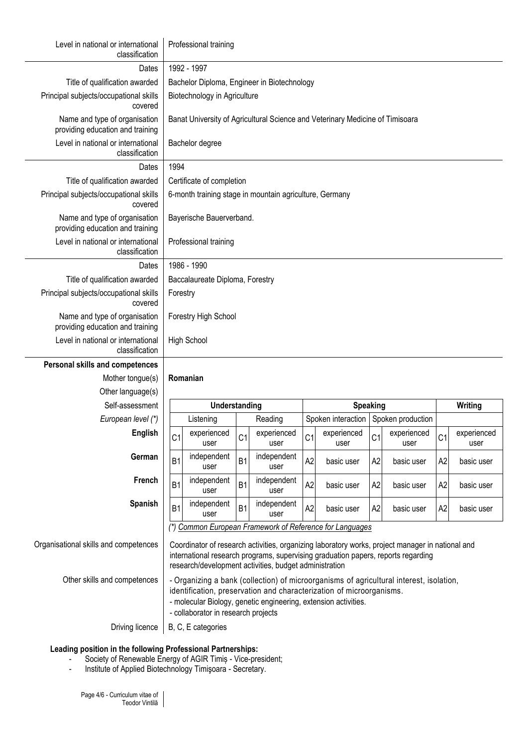| Level in national or international<br>classification              | Professional training                                                                                                                                                                                                                                                     |                          |                     |                |                                        |                |                     |                |                     |
|-------------------------------------------------------------------|---------------------------------------------------------------------------------------------------------------------------------------------------------------------------------------------------------------------------------------------------------------------------|--------------------------|---------------------|----------------|----------------------------------------|----------------|---------------------|----------------|---------------------|
| Dates                                                             | 1992 - 1997                                                                                                                                                                                                                                                               |                          |                     |                |                                        |                |                     |                |                     |
| Title of qualification awarded                                    | Bachelor Diploma, Engineer in Biotechnology                                                                                                                                                                                                                               |                          |                     |                |                                        |                |                     |                |                     |
| Principal subjects/occupational skills<br>covered                 | Biotechnology in Agriculture                                                                                                                                                                                                                                              |                          |                     |                |                                        |                |                     |                |                     |
| Name and type of organisation<br>providing education and training | Banat University of Agricultural Science and Veterinary Medicine of Timisoara                                                                                                                                                                                             |                          |                     |                |                                        |                |                     |                |                     |
| Level in national or international<br>classification              | Bachelor degree                                                                                                                                                                                                                                                           |                          |                     |                |                                        |                |                     |                |                     |
| Dates                                                             | 1994                                                                                                                                                                                                                                                                      |                          |                     |                |                                        |                |                     |                |                     |
| Title of qualification awarded                                    | Certificate of completion                                                                                                                                                                                                                                                 |                          |                     |                |                                        |                |                     |                |                     |
| Principal subjects/occupational skills<br>covered                 | 6-month training stage in mountain agriculture, Germany                                                                                                                                                                                                                   |                          |                     |                |                                        |                |                     |                |                     |
| Name and type of organisation<br>providing education and training |                                                                                                                                                                                                                                                                           | Bayerische Bauerverband. |                     |                |                                        |                |                     |                |                     |
| Level in national or international<br>classification              | Professional training                                                                                                                                                                                                                                                     |                          |                     |                |                                        |                |                     |                |                     |
| Dates                                                             | 1986 - 1990                                                                                                                                                                                                                                                               |                          |                     |                |                                        |                |                     |                |                     |
| Title of qualification awarded                                    | Baccalaureate Diploma, Forestry                                                                                                                                                                                                                                           |                          |                     |                |                                        |                |                     |                |                     |
| Principal subjects/occupational skills<br>covered                 | Forestry                                                                                                                                                                                                                                                                  |                          |                     |                |                                        |                |                     |                |                     |
| Name and type of organisation<br>providing education and training | Forestry High School                                                                                                                                                                                                                                                      |                          |                     |                |                                        |                |                     |                |                     |
| Level in national or international<br>classification              | <b>High School</b>                                                                                                                                                                                                                                                        |                          |                     |                |                                        |                |                     |                |                     |
| Personal skills and competences                                   |                                                                                                                                                                                                                                                                           |                          |                     |                |                                        |                |                     |                |                     |
| Mother tongue(s)                                                  | Romanian                                                                                                                                                                                                                                                                  |                          |                     |                |                                        |                |                     |                |                     |
| Other language(s)                                                 |                                                                                                                                                                                                                                                                           |                          |                     |                |                                        |                |                     |                |                     |
| Self-assessment                                                   | Understanding                                                                                                                                                                                                                                                             |                          |                     |                | <b>Speaking</b>                        |                |                     |                | Writing             |
| European level (*)                                                | Listening                                                                                                                                                                                                                                                                 |                          | Reading             |                | Spoken interaction   Spoken production |                |                     |                |                     |
| English                                                           | experienced<br>C <sub>1</sub><br>user                                                                                                                                                                                                                                     | C <sub>1</sub>           | experienced<br>user | C <sub>1</sub> | experienced<br>user                    | C <sub>1</sub> | experienced<br>user | C <sub>1</sub> | experienced<br>user |
| German                                                            | independent<br><b>B1</b><br>user                                                                                                                                                                                                                                          | <b>B1</b>                | independent<br>user | A2             | basic user                             | A2             | basic user          | A2             | basic user          |
| French                                                            | independent<br>B <sub>1</sub><br>user                                                                                                                                                                                                                                     | B <sub>1</sub>           | independent<br>user | A2             | basic user                             | A2             | basic user          | A2             | basic user          |
| <b>Spanish</b>                                                    | independent<br>B <sub>1</sub><br>user                                                                                                                                                                                                                                     | B <sub>1</sub>           | independent<br>user | A2             | basic user                             | A <sub>2</sub> | basic user          | A2             | basic user          |
|                                                                   | (*) Common European Framework of Reference for Languages                                                                                                                                                                                                                  |                          |                     |                |                                        |                |                     |                |                     |
| Organisational skills and competences                             | Coordinator of research activities, organizing laboratory works, project manager in national and<br>international research programs, supervising graduation papers, reports regarding<br>research/development activities, budget administration                           |                          |                     |                |                                        |                |                     |                |                     |
| Other skills and competences                                      | - Organizing a bank (collection) of microorganisms of agricultural interest, isolation,<br>identification, preservation and characterization of microorganisms.<br>- molecular Biology, genetic engineering, extension activities.<br>- collaborator in research projects |                          |                     |                |                                        |                |                     |                |                     |
| Driving licence                                                   | B, C, E categories                                                                                                                                                                                                                                                        |                          |                     |                |                                        |                |                     |                |                     |

### **Leading position in the following Professional Partnerships:**

- Society of Renewable Energy of AGIR Timiș Vice-president;
- Institute of Applied Biotechnology Timişoara Secretary.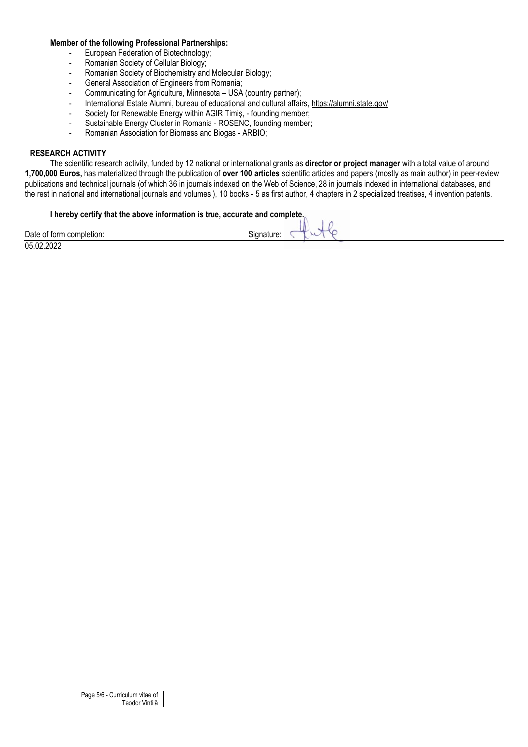#### **Member of the following Professional Partnerships:**

- European Federation of Biotechnology;<br>- Romanian Society of Cellular Biology;
- Romanian Society of Cellular Biology;
- Romanian Society of Biochemistry and Molecular Biology;
- General Association of Engineers from Romania;
- Communicating for Agriculture, Minnesota USA (country partner);
- International Estate Alumni, bureau of educational and cultural affairs,<https://alumni.state.gov/>
- Society for Renewable Energy within AGIR Timiş, founding member;
- Sustainable Energy Cluster in Romania ROSENC, founding member;
- Romanian Association for Biomass and Biogas ARBIO;

### **RESEARCH ACTIVITY**

The scientific research activity, funded by 12 national or international grants as **director or project manager** with a total value of around **1,700,000 Euros,** has materialized through the publication of **over 100 articles** scientific articles and papers (mostly as main author) in peer-review publications and technical journals (of which 36 in journals indexed on the Web of Science, 28 in journals indexed in international databases, and the rest in national and international journals and volumes ), 10 books - 5 as first author, 4 chapters in 2 specialized treatises, 4 invention patents.

#### **I hereby certify that the above information is true, accurate and complete.**

| .                                |                           |  |
|----------------------------------|---------------------------|--|
| Date<br>completion:<br>. of form | Л<br>Sianature.<br>$\sim$ |  |
|                                  |                           |  |

05.02.2022